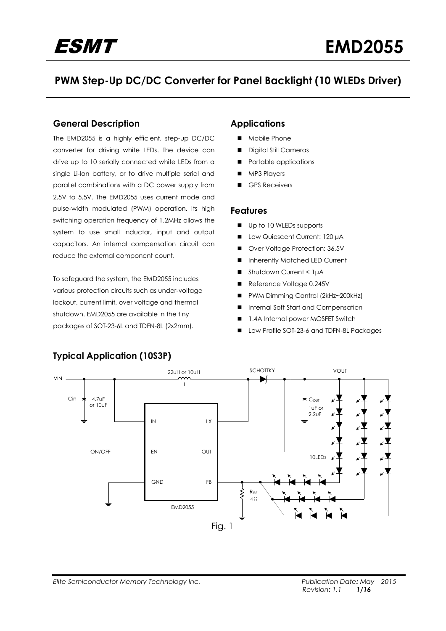# **PWM Step-Up DC/DC Converter for Panel Backlight (10 WLEDs Driver)**

### **General Description**

The EMD2055 is a highly efficient, step-up DC/DC converter for driving white LEDs. The device can drive up to 10 serially connected white LEDs from a single Li-Ion battery, or to drive multiple serial and parallel combinations with a DC power supply from 2.5V to 5.5V. The EMD2055 uses current mode and pulse-width modulated (PWM) operation. Its high switching operation frequency of 1.2MHz allows the system to use small inductor, input and output capacitors. An internal compensation circuit can reduce the external component count.

To safeguard the system, the EMD2055 includes various protection circuits such as under-voltage lockout, current limit, over voltage and thermal shutdown. EMD2055 are available in the tiny packages of SOT-23-6L and TDFN-8L (2x2mm).

### **Applications**

- Mobile Phone
- Digital Still Cameras
- Portable applications
- **MP3 Players**
- GPS Receivers

#### **Features**

- Up to 10 WLEDs supports
- **■** Low Quiescent Current: 120 μA
- Over Voltage Protection: 36.5V
- **Inherently Matched LED Current**
- Shutdown Current < 1µA
- Reference Voltage 0.245V
- PWM Dimming Control (2kHz~200kHz)
- Internal Soft Start and Compensation
- 1.4A Internal power MOSFET Switch
- Low Profile SOT-23-6 and TDFN-8L Packages



## **Typical Application (10S3P)**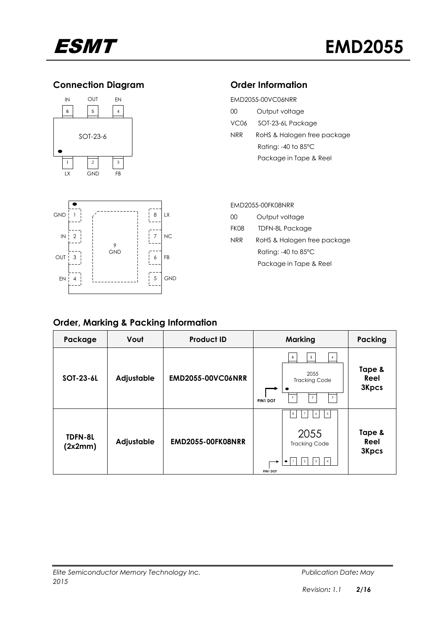

## **Connection Diagram**





| EMD2055-00VC06NRR |                                 |  |  |  |
|-------------------|---------------------------------|--|--|--|
| OO.               | Output voltage                  |  |  |  |
| VC <sub>06</sub>  | SOT-23-6L Package               |  |  |  |
| <b>NRR</b>        | RoHS & Halogen free package     |  |  |  |
|                   | Rating: $-40$ to 85 $\degree$ C |  |  |  |
|                   | Package in Tape & Reel          |  |  |  |

| <b>GND</b>    |                |                 | 8              | LX        |
|---------------|----------------|-----------------|----------------|-----------|
| $\mathsf{IN}$ | $\overline{2}$ | 9<br><b>GND</b> | $\overline{7}$ | <b>NC</b> |
| OUT           | 3              |                 | 6              | FB        |
| EN            | 4              |                 | 5              | GND       |

### EMD2055-00FK08NRR

| OO.                             | Output voltage              |  |  |  |
|---------------------------------|-----------------------------|--|--|--|
| FK08                            | <b>TDFN-8L Package</b>      |  |  |  |
| NRR                             | RoHS & Halogen free package |  |  |  |
| Rating: $-40$ to 85 $\degree$ C |                             |  |  |  |
|                                 | Package in Tape & Reel      |  |  |  |

## **Order, Marking & Packing Information**

| Package            | Vout       | <b>Product ID</b>        | <b>Marking</b>                                                                                                                           | Packing                        |
|--------------------|------------|--------------------------|------------------------------------------------------------------------------------------------------------------------------------------|--------------------------------|
| SOT-23-6L          | Adjustable | <b>EMD2055-00VC06NRR</b> | 5<br>6<br>2055<br><b>Tracking Code</b><br>$\overline{\mathbf{3}}$<br>$\overline{c}$<br>PIN1 DOT                                          | Tape &<br>Reel<br><b>3Kpcs</b> |
| TDFN-8L<br>(2x2mm) | Adjustable | <b>EMD2055-00FK08NRR</b> | $^{\rm 8}$<br>$\overline{5}$<br>6<br>$\overline{7}$<br>2055<br><b>Tracking Code</b><br>3<br>$\overline{4}$<br>$\overline{2}$<br>PIN1 DOT | Tape &<br>Reel<br><b>3Kpcs</b> |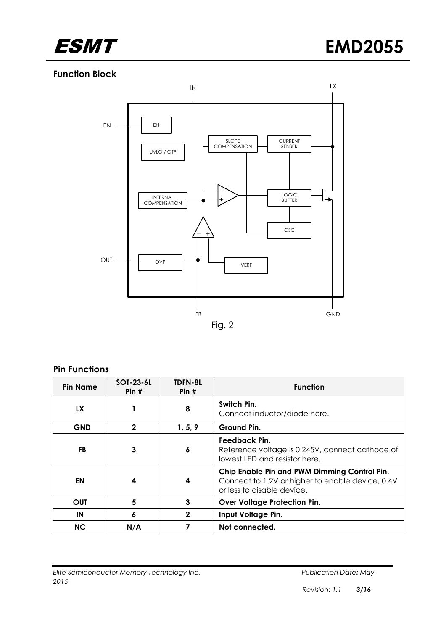

## **Function Block**



#### **Pin Functions**

| <b>Pin Name</b> | SOT-23-6L<br>Pin $#$ | <b>TDFN-8L</b><br>Pin $#$                        | <b>Function</b>                                                                                                                |  |
|-----------------|----------------------|--------------------------------------------------|--------------------------------------------------------------------------------------------------------------------------------|--|
| <b>LX</b>       |                      | Switch Pin.<br>8<br>Connect inductor/diode here. |                                                                                                                                |  |
| <b>GND</b>      | 2                    | 1, 5, 9                                          | Ground Pin.                                                                                                                    |  |
| <b>FB</b>       | 3                    | 6                                                | Feedback Pin.<br>Reference voltage is 0.245V, connect cathode of<br>lowest LED and resistor here.                              |  |
| EN              | 4                    | 4                                                | Chip Enable Pin and PWM Dimming Control Pin.<br>Connect to 1.2V or higher to enable device, 0.4V<br>or less to disable device. |  |
| <b>OUT</b>      | 5                    | 3                                                | <b>Over Voltage Protection Pin.</b>                                                                                            |  |
| IN              | 6                    | $\mathbf{2}$                                     | Input Voltage Pin.                                                                                                             |  |
| <b>NC</b>       | N/A                  |                                                  | Not connected.                                                                                                                 |  |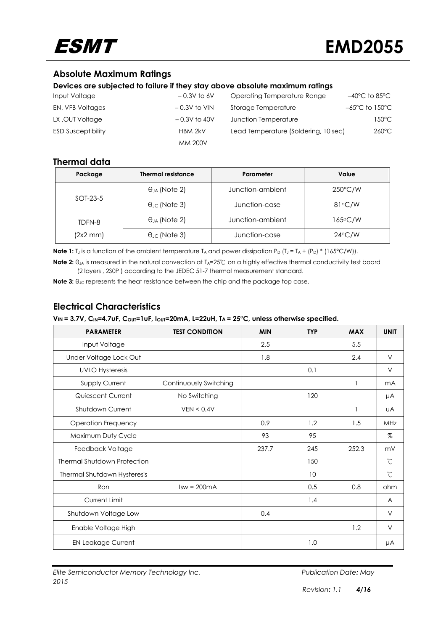

## **Absolute Maximum Ratings**

#### **Devices are subjected to failure if they stay above absolute maximum ratings**

| Input Voltage             | $-0.3V$ to 6V  | Operating Temperature Range          | $-40^{\circ}$ C to 85 $^{\circ}$ C  |
|---------------------------|----------------|--------------------------------------|-------------------------------------|
| EN, VFB Voltages          | $-0.3V$ to VIN | Storage Temperature                  | $-65^{\circ}$ C to 150 $^{\circ}$ C |
| LX, OUT Voltage           | $-0.3V$ to 40V | Junction Temperature                 | 150°C                               |
| <b>ESD Susceptibility</b> | HBM 2kV        | Lead Temperature (Soldering, 10 sec) | $260^{\circ}$ C                     |
|                           | <b>MM 200V</b> |                                      |                                     |

### **Thermal data**

| Package       | <b>Thermal resistance</b>  | Parameter        | Value             |
|---------------|----------------------------|------------------|-------------------|
|               | $\theta_{JA}$ (Note 2)     | Junction-ambient | $250^{\circ}$ C/W |
| SOT-23-5      | $\theta_{\rm JC}$ (Note 3) | Junction-case    | $81^{\circ}$ C/W  |
| TDFN-8        | $\theta_{JA}$ (Note 2)     | Junction-ambient | 165°C/W           |
| $(2x2$ mm $)$ | $\theta_{\rm JC}$ (Note 3) | Junction-case    | $24^{\circ}$ C/W  |

**Note 1:** T<sub>J</sub> is a function of the ambient temperature T<sub>A</sub> and power dissipation  $P_D$  (T<sub>J</sub> = T<sub>A</sub> + (P<sub>D</sub>) \* (165°C/W)).

**Note 2:** θ<sub>JA</sub> is measured in the natural convection at T<sub>A</sub>=25℃ on a highly effective thermal conductivity test board (2 layers , 2S0P ) according to the JEDEC 51-7 thermal measurement standard.

**Note 3:** θ<sub>JC</sub> represents the heat resistance between the chip and the package top case.

## **Electrical Characteristics**

| <b>PARAMETER</b>                   | <b>TEST CONDITION</b>  | <b>MIN</b> | <b>TYP</b> | <b>MAX</b>   | <b>UNIT</b>    |
|------------------------------------|------------------------|------------|------------|--------------|----------------|
| Input Voltage                      |                        | 2.5        |            | 5.5          |                |
| Under Voltage Lock Out             |                        | 1.8        |            | 2.4          | $\vee$         |
| <b>UVLO Hysteresis</b>             |                        |            | 0.1        |              | V              |
| Supply Current                     | Continuously Switching |            |            | $\mathbf{1}$ | m <sub>A</sub> |
| Quiescent Current                  | No Switching           |            | 120        |              | μA             |
| Shutdown Current                   | VEN < 0.4V             |            |            | 1            | UA             |
| Operation Frequency                |                        | 0.9        | 1.2        | 1.5          | MHz            |
| Maximum Duty Cycle                 |                        | 93         | 95         |              | $\%$           |
| Feedback Voltage                   |                        | 237.7      | 245        | 252.3        | mV             |
| <b>Thermal Shutdown Protection</b> |                        |            | 150        |              | °C             |
| Thermal Shutdown Hysteresis        |                        |            | 10         |              | $\mathrm{C}$   |
| Ron                                | $Isw = 200mA$          |            | 0.5        | 0.8          | ohm            |
| Current Limit                      |                        |            | 1.4        |              | A              |
| Shutdown Voltage Low               |                        | 0.4        |            |              | V              |
| Enable Voltage High                |                        |            |            | 1.2          | $\vee$         |
| <b>EN Leakage Current</b>          |                        |            | 1.0        |              | μA             |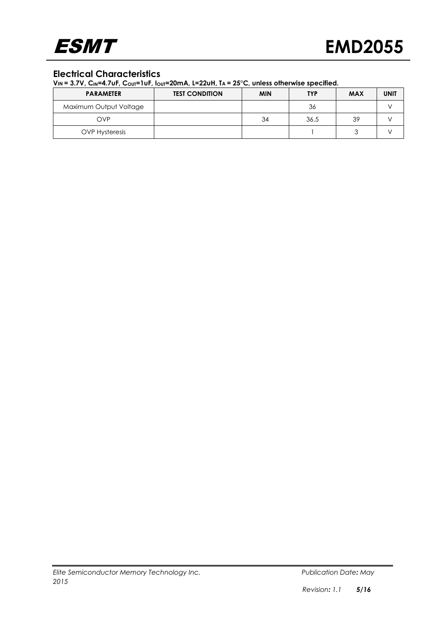

## **Electrical Characteristics**

| <b>PARAMETER</b>       | <b>TEST CONDITION</b> | <b>MIN</b> | <b>TYP</b> | <b>MAX</b> | <b>UNIT</b> |
|------------------------|-----------------------|------------|------------|------------|-------------|
| Maximum Output Voltage |                       |            | 36         |            |             |
| OVP                    |                       | 34         | 36.5       | 39         |             |
| <b>OVP Hysteresis</b>  |                       |            |            |            |             |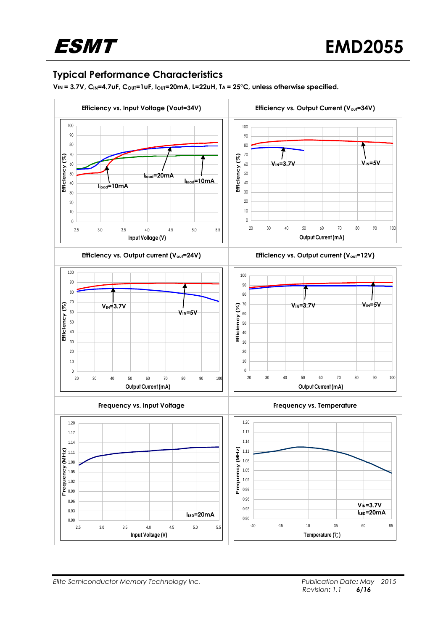## **Typical Performance Characteristics**

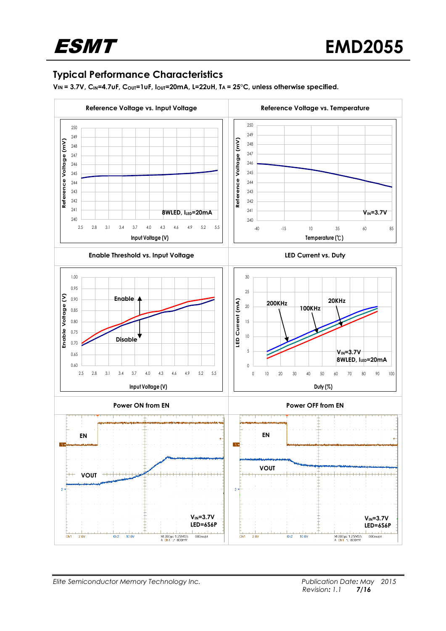## **Typical Performance Characteristics**

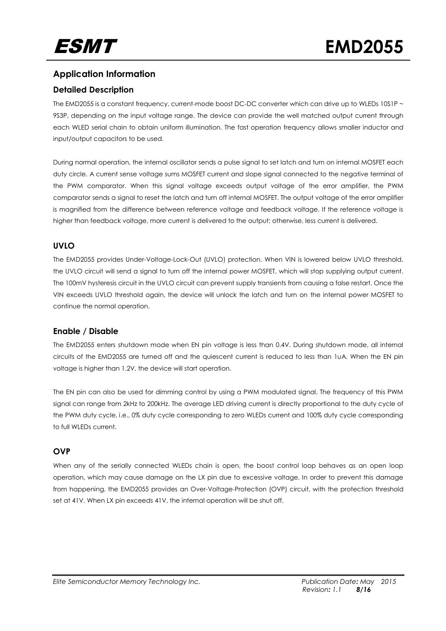## **Application Information**

#### **Detailed Description**

The EMD2055 is a constant frequency, current-mode boost DC-DC converter which can drive up to WLEDs 10S1P ~ 9S3P, depending on the input voltage range. The device can provide the well matched output current through each WLED serial chain to obtain uniform illumination. The fast operation frequency allows smaller inductor and input/output capacitors to be used.

During normal operation, the internal oscillator sends a pulse signal to set latch and turn on internal MOSFET each duty circle. A current sense voltage sums MOSFET current and slope signal connected to the negative terminal of the PWM comparator. When this signal voltage exceeds output voltage of the error amplifier, the PWM comparator sends a signal to reset the latch and turn off internal MOSFET. The output voltage of the error amplifier is magnified from the difference between reference voltage and feedback voltage. If the reference voltage is higher than feedback voltage, more current is delivered to the output; otherwise, less current is delivered.

#### **UVLO**

The EMD2055 provides Under-Voltage-Lock-Out (UVLO) protection. When VIN is lowered below UVLO threshold, the UVLO circuit will send a signal to turn off the internal power MOSFET, which will stop supplying output current. The 100mV hysteresis circuit in the UVLO circuit can prevent supply transients from causing a false restart. Once the VIN exceeds UVLO threshold again, the device will unlock the latch and turn on the internal power MOSFET to continue the normal operation.

#### **Enable / Disable**

The EMD2055 enters shutdown mode when EN pin voltage is less than 0.4V. During shutdown mode, all internal circuits of the EMD2055 are turned off and the quiescent current is reduced to less than 1uA. When the EN pin voltage is higher than 1.2V, the device will start operation.

The EN pin can also be used for dimming control by using a PWM modulated signal. The frequency of this PWM signal can range from 2kHz to 200kHz. The average LED driving current is directly proportional to the duty cycle of the PWM duty cycle, i.e., 0% duty cycle corresponding to zero WLEDs current and 100% duty cycle corresponding to full WLEDs current.

#### **OVP**

When any of the serially connected WLEDs chain is open, the boost control loop behaves as an open loop operation, which may cause damage on the LX pin due to excessive voltage. In order to prevent this damage from happening, the EMD2055 provides an Over-Voltage-Protection (OVP) circuit, with the protection threshold set at 41V. When LX pin exceeds 41V, the internal operation will be shut off.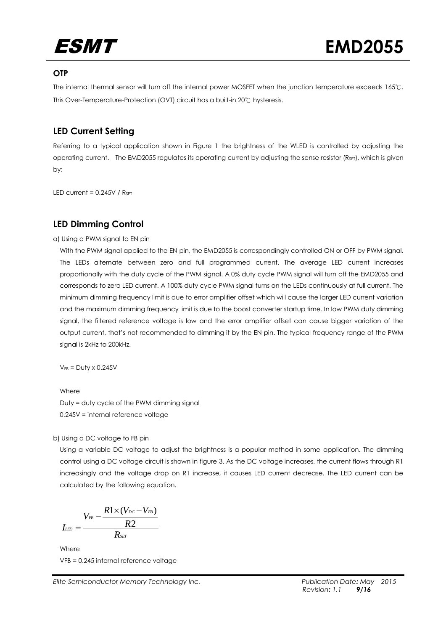

#### **OTP**

The internal thermal sensor will turn off the internal power MOSFET when the junction temperature exceeds 165℃. This Over-Temperature-Protection (OVT) circuit has a built-in 20℃ hysteresis.

## **LED Current Setting**

Referring to a typical application shown in Figure 1 the brightness of the WLED is controlled by adjusting the operating current. The EMD2055 regulates its operating current by adjusting the sense resistor (R<sub>SET</sub>), which is given by:

LED current =  $0.245V / R_{\text{SET}}$ 

### **LED Dimming Control**

#### a) Using a PWM signal to EN pin

With the PWM signal applied to the EN pin, the EMD2055 is correspondingly controlled ON or OFF by PWM signal. The LEDs alternate between zero and full programmed current. The average LED current increases proportionally with the duty cycle of the PWM signal. A 0% duty cycle PWM signal will turn off the EMD2055 and corresponds to zero LED current. A 100% duty cycle PWM signal turns on the LEDs continuously at full current. The minimum dimming frequency limit is due to error amplifier offset which will cause the larger LED current variation and the maximum dimming frequency limit is due to the boost converter startup time. In low PWM duty dimming signal, the filtered reference voltage is low and the error amplifier offset can cause bigger variation of the output current, that's not recommended to dimming it by the EN pin. The typical frequency range of the PWM signal is 2kHz to 200kHz.

 $V_{FB} = Duty \times 0.245V$ 

Where Duty = duty cycle of the PWM dimming signal 0.245V = internal reference voltage

b) Using a DC voltage to FB pin

Using a variable DC voltage to adjust the brightness is a popular method in some application. The dimming control using a DC voltage circuit is shown in figure 3. As the DC voltage increases, the current flows through R1 increasingly and the voltage drop on R1 increase, it causes LED current decrease. The LED current can be calculated by the following equation.

$$
I_{\scriptscriptstyle L\!I\!D}=\frac{V_{\scriptscriptstyle I\!B}-\frac{R1\times(V_{\scriptscriptstyle D\!C}-V_{\scriptscriptstyle I\!B})}{R2}}{R_{\scriptscriptstyle S\!E\!I}}
$$

Where VFB = 0.245 internal reference voltage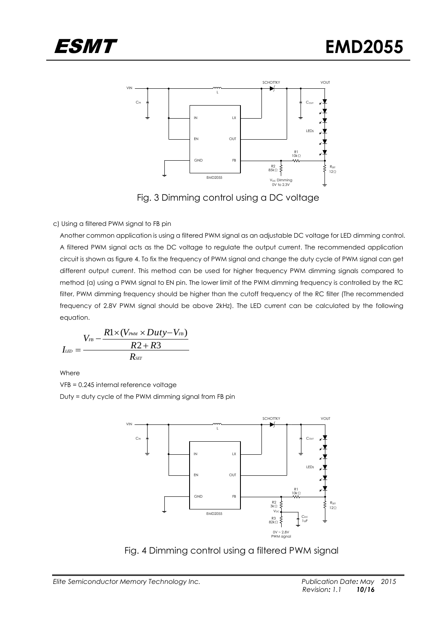

Fig. 3 Dimming control using a DC voltage

#### c) Using a filtered PWM signal to FB pin

Another common application is using a filtered PWM signal as an adjustable DC voltage for LED dimming control. A filtered PWM signal acts as the DC voltage to regulate the output current. The recommended application circuit is shown as figure 4. To fix the frequency of PWM signal and change the duty cycle of PWM signal can get different output current. This method can be used for higher frequency PWM dimming signals compared to method (a) using a PWM signal to EN pin. The lower limit of the PWM dimming frequency is controlled by the RC filter, PWM dimming frequency should be higher than the cutoff frequency of the RC filter (The recommended frequency of 2.8V PWM signal should be above 2kHz). The LED current can be calculated by the following equation.

$$
I_{\scriptscriptstyle L\scriptscriptstyle ED}=\frac{V_{\scriptscriptstyle FB}-\frac{R1\times(V_{\scriptscriptstyle PWM}\times Duty-V_{\scriptscriptstyle FB})}{R2+R3}}{R_{\scriptscriptstyle SET}}
$$

Where

VFB = 0.245 internal reference voltage

Duty = duty cycle of the PWM dimming signal from FB pin



Fig. 4 Dimming control using a filtered PWM signal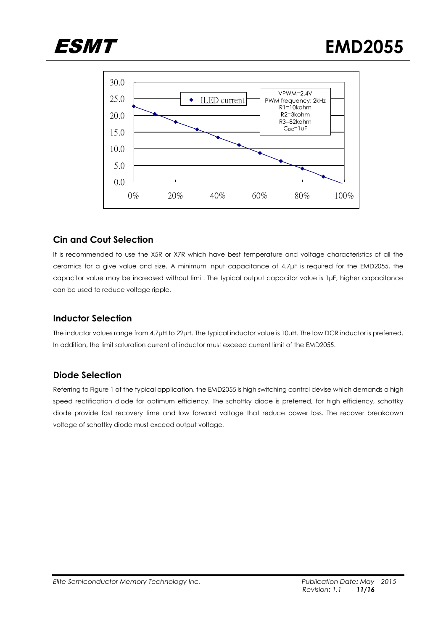



## **Cin and Cout Selection**

It is recommended to use the X5R or X7R which have best temperature and voltage characteristics of all the ceramics for a give value and size. A minimum input capacitance of 4.7μF is required for the EMD2055, the capacitor value may be increased without limit. The typical output capacitor value is 1μF, higher capacitance can be used to reduce voltage ripple.

## **Inductor Selection**

The inductor values range from 4.7μH to 22μH. The typical inductor value is 10μH. The low DCR inductor is preferred. In addition, the limit saturation current of inductor must exceed current limit of the EMD2055.

## **Diode Selection**

Referring to Figure 1 of the typical application, the EMD2055 is high switching control devise which demands a high speed rectification diode for optimum efficiency. The schottky diode is preferred, for high efficiency, schottky diode provide fast recovery time and low forward voltage that reduce power loss. The recover breakdown voltage of schottky diode must exceed output voltage.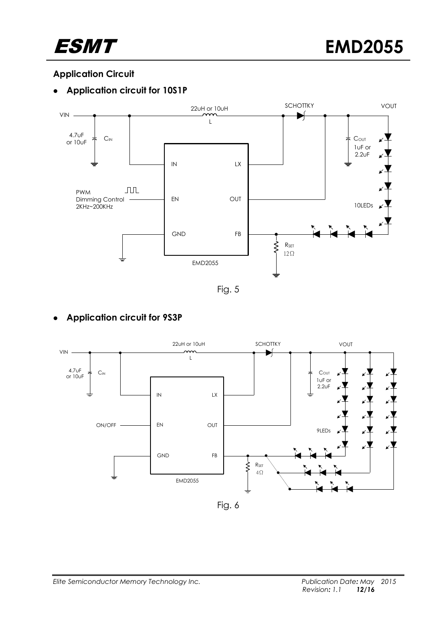

## **Application Circuit**

## **Application circuit for 10S1P**



Fig. 5

## **Application circuit for 9S3P**



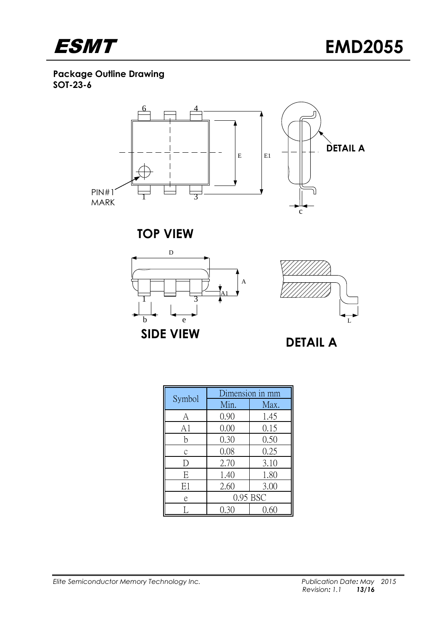

**Package Outline Drawing SOT-23-6**



**TOP VIEW**





|        |          | Dimension in mm |  |
|--------|----------|-----------------|--|
| Symbol | Min.     | Max.            |  |
| А      | 0.90     | 1.45            |  |
| A1     | 0.00     | 0.15            |  |
| b      | 0.30     | 0.50            |  |
| C      | 0.08     | 0.25            |  |
|        | 2.70     | 3.10            |  |
| E      | 1.40     | 1.80            |  |
| E1     | 2.60     | 3.00            |  |
| e      | 0.95 BSC |                 |  |
|        |          |                 |  |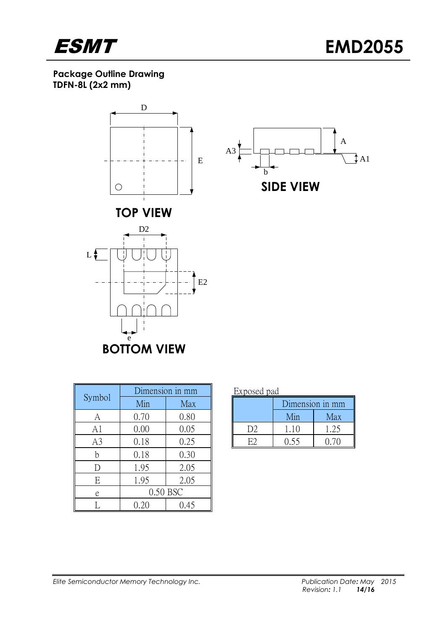

**Package Outline Drawing TDFN-8L (2x2 mm)**



**BOTTOM VIEW**

|                |      | Dimension in mm | Exposed pad    |                 |      |
|----------------|------|-----------------|----------------|-----------------|------|
| Symbol         | Min  | Max             |                | Dimension in mr |      |
| A              | 0.70 | 0.80            |                | Min             | Max  |
| A1             | 0.00 | 0.05            | D <sub>2</sub> | 1.10            | 1.25 |
| A <sub>3</sub> | 0.18 | 0.25            | E2             | 0.55            | 0.70 |
| n              | 0.18 | 0.30            |                |                 |      |
|                | 1.95 | 2.05            |                |                 |      |
| E              | 1.95 | 2.05            |                |                 |      |
| e              |      | 0.50 BSC        |                |                 |      |
|                |      | 0.45            |                |                 |      |

| ---<br>-----           |                 |      |  |  |  |
|------------------------|-----------------|------|--|--|--|
|                        | Dimension in mm |      |  |  |  |
|                        | Min             | Max  |  |  |  |
| $\left  \right\rangle$ | 110             | 1.25 |  |  |  |
|                        | በ 55            | 9 7O |  |  |  |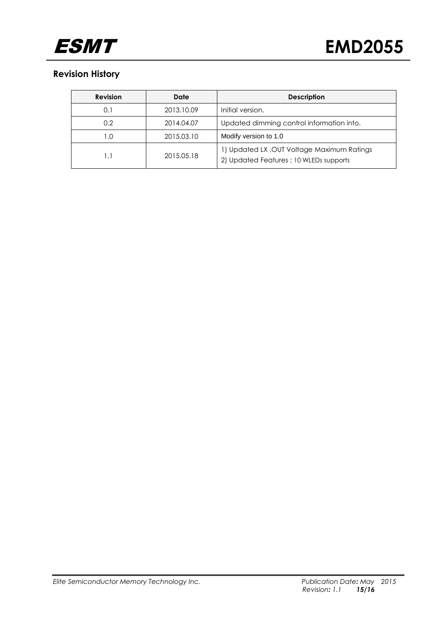

## **Revision History**

| <b>Revision</b> | Date       | <b>Description</b>                                                                    |
|-----------------|------------|---------------------------------------------------------------------------------------|
| 0.1             | 2013.10.09 | Initial version.                                                                      |
| 0.2             | 2014.04.07 | Updated dimming control information into.                                             |
| 1.0             | 2015.03.10 | Modify version to 1.0                                                                 |
|                 | 2015.05.18 | 1) Updated LX, OUT Voltage Maximum Ratings<br>2) Updated Features ; 10 WLEDs supports |